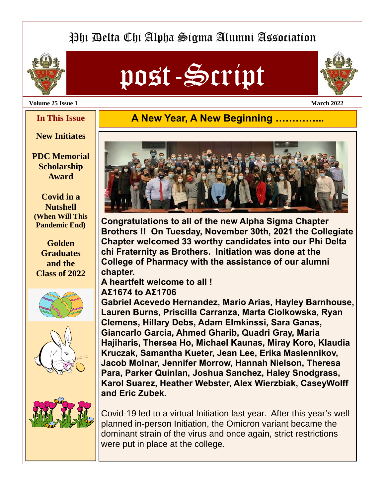# Phi Delta Chi Alpha Sigma Alumni Association



# post-Script



**Volume 25 Issue 1 March 2022** 

## **A New Year, A New Beginning ....**

## **New Initiates**

**In This Issue** 

**PDC Memorial Scholarship Award** 

**Covid in a Nutshell (When Will This Pandemic End)** 

**Golden Graduates and the Class of 2022** 









**Congratulations to all of the new Alpha Sigma Chapter Brothers !! On Tuesday, November 30th, 2021 the Collegiate Chapter welcomed 33 worthy candidates into our Phi Delta chi Fraternity as Brothers. Initiation was done at the College of Pharmacy with the assistance of our alumni chapter.** 

**A heartfelt welcome to all !** 

## **ΑΣ1674 to ΑΣ1706**

**Gabriel Acevedo Hernandez, Mario Arias, Hayley Barnhouse, Lauren Burns, Priscilla Carranza, Marta Ciolkowska, Ryan Clemens, Hillary Debs, Adam Elmkinssi, Sara Ganas, Giancarlo Garcia, Ahmed Gharib, Quadri Gray, Maria Hajiharis, Thersea Ho, Michael Kaunas, Miray Koro, Klaudia Kruczak, Samantha Kueter, Jean Lee, Erika Maslennikov, Jacob Molnar, Jennifer Morrow, Hannah Nielson, Theresa Para, Parker Quinlan, Joshua Sanchez, Haley Snodgrass, Karol Suarez, Heather Webster, Alex Wierzbiak, CaseyWolff and Eric Zubek.** 

Covid-19 led to a virtual Initiation last year. After this year's well planned in-person Initiation, the Omicron variant became the dominant strain of the virus and once again, strict restrictions were put in place at the college.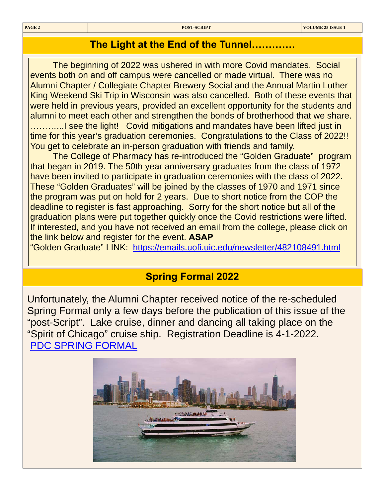## **The Light at the End of the Tunnel………….**

The beginning of 2022 was ushered in with more Covid mandates. Social events both on and off campus were cancelled or made virtual. There was no Alumni Chapter / Collegiate Chapter Brewery Social and the Annual Martin Luther King Weekend Ski Trip in Wisconsin was also cancelled. Both of these events that were held in previous years, provided an excellent opportunity for the students and alumni to meet each other and strengthen the bonds of brotherhood that we share. ............I see the light! Covid mitigations and mandates have been lifted just in time for this year's graduation ceremonies. Congratulations to the Class of 2022!! You get to celebrate an in-person graduation with friends and family.

The College of Pharmacy has re-introduced the "Golden Graduate" program that began in 2019. The 50th year anniversary graduates from the class of 1972 have been invited to participate in graduation ceremonies with the class of 2022. These "Golden Graduates" will be joined by the classes of 1970 and 1971 since the program was put on hold for 2 years. Due to short notice from the COP the deadline to register is fast approaching. Sorry for the short notice but all of the graduation plans were put together quickly once the Covid restrictions were lifted. If interested, and you have not received an email from the college, please click on the link below and register for the event. **ASAP**

"Golden Graduate" LINK: <https://emails.uofi.uic.edu/newsletter/482108491.html>

## **Spring Formal 2022**

Unfortunately, the Alumni Chapter received notice of the re-scheduled Spring Formal only a few days before the publication of this issue of the "post-Script". Lake cruise, dinner and dancing all taking place on the "Spirit of Chicago" cruise ship. Registration Deadline is 4-1-2022. [PDC SPRING FORMAL](https://docs.google.com/forms/d/e/1FAIpQLSdbSU_vLj0V5OCFGQvTpwrBBTBwBm7AAMe-oD09sDNIOV1EfQ/viewform)

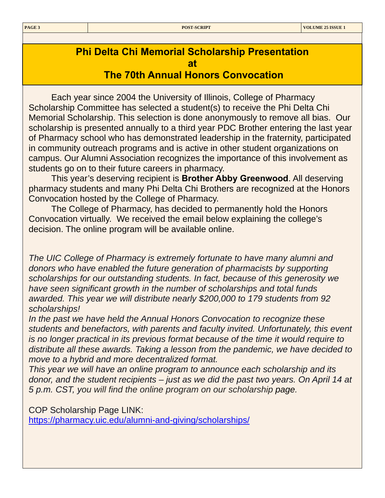## **Phi Delta Chi Memorial Scholarship Presentation at The 70th Annual Honors Convocation**

Each year since 2004 the University of Illinois, College of Pharmacy Scholarship Committee has selected a student(s) to receive the Phi Delta Chi Memorial Scholarship. This selection is done anonymously to remove all bias. Our scholarship is presented annually to a third year PDC Brother entering the last year of Pharmacy school who has demonstrated leadership in the fraternity, participated in community outreach programs and is active in other student organizations on campus. Our Alumni Association recognizes the importance of this involvement as students go on to their future careers in pharmacy.

This year's deserving recipient is **Brother Abby Greenwood**. All deserving pharmacy students and many Phi Delta Chi Brothers are recognized at the Honors Convocation hosted by the College of Pharmacy.

The College of Pharmacy, has decided to permanently hold the Honors Convocation virtually. We received the email below explaining the college's decision. The online program will be available online.

*The UIC College of Pharmacy is extremely fortunate to have many alumni and donors who have enabled the future generation of pharmacists by supporting scholarships for our outstanding students. In fact, because of this generosity we have seen significant growth in the number of scholarships and total funds awarded. This year we will distribute nearly \$200,000 to 179 students from 92 scholarships!* 

*In the past we have held the Annual Honors Convocation to recognize these students and benefactors, with parents and faculty invited. Unfortunately, this event is no longer practical in its previous format because of the time it would require to distribute all these awards. Taking a lesson from the pandemic, we have decided to move to a hybrid and more decentralized format.* 

*This year we will have an online program to announce each scholarship and its donor, and the student recipients – just as we did the past two years. On April 14 at 5 p.m. CST, you will find the online program on our scholarship page.* 

COP Scholarship Page LINK:

<https://pharmacy.uic.edu/alumni-and-giving/scholarships/>